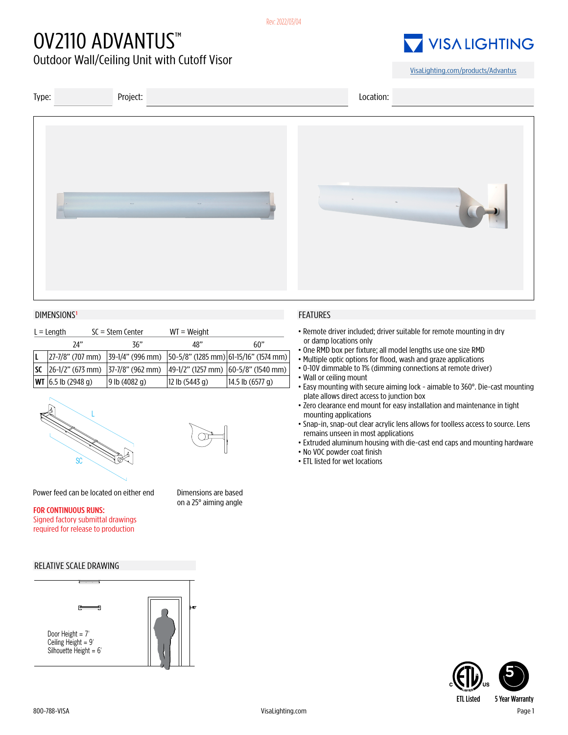# OV2110 ADVANTUS™

Outdoor Wall/Ceiling Unit with Cutoff Visor



[VisaLighting.com/products/A](https://visalighting.com/products/advantus)dvantus



### DIMENSIONS<sup>1</sup> FEATURES

| $L =$ Length |                               | $SC = Stem$ Center  | $WT = Weight$  |                                                                                     |
|--------------|-------------------------------|---------------------|----------------|-------------------------------------------------------------------------------------|
|              | 24"                           | 36"                 | 48"            | 60"                                                                                 |
|              |                               |                     |                | $ 27-7/8"$ (707 mm) $ 39-1/4"$ (996 mm) $ 50-5/8"$ (1285 mm) $ 61-15/16"$ (1574 mm) |
|              | $SC$   26-1/2" (673 mm)       | $ 37-7/8"$ (962 mm) |                | $ 49-1/2"$ (1257 mm) $ 60-5/8"$ (1540 mm)                                           |
|              | <b>WT</b> $ 6.5 $ lb (2948 q) | $9$ lb $(4082 q)$   | 12 lb (5443 g) | 14.5 lb (6577 g)                                                                    |





Dimensions are based on a 25° aiming angle

Power feed can be located on either end

#### FOR CONTINUOUS RUNS: Signed factory submittal drawings required for release to production

### RELATIVE SCALE DRAWING



- •Remote driver included; driver suitable for remote mounting in dry or damp locations only
- One RMD box per fixture; all model lengths use one size RMD
- Multiple optic options for flood, wash and graze applications
- •0-10V dimmable to 1% (dimming connections at remote driver)
- Wall or ceiling mount
- Easy mounting with secure aiming lock aimable to 360°. Die-cast mounting plate allows direct access to junction box
- •Zero clearance end mount for easy installation and maintenance in tight mounting applications
- Snap-in, snap-out clear acrylic lens allows for toolless access to source. Lens remains unseen in most applications
- Extruded aluminum housing with die-cast end caps and mounting hardware
- No VOC powder coat finish
- ETL listed for wet locations



ETL Listed 5 Year Warranty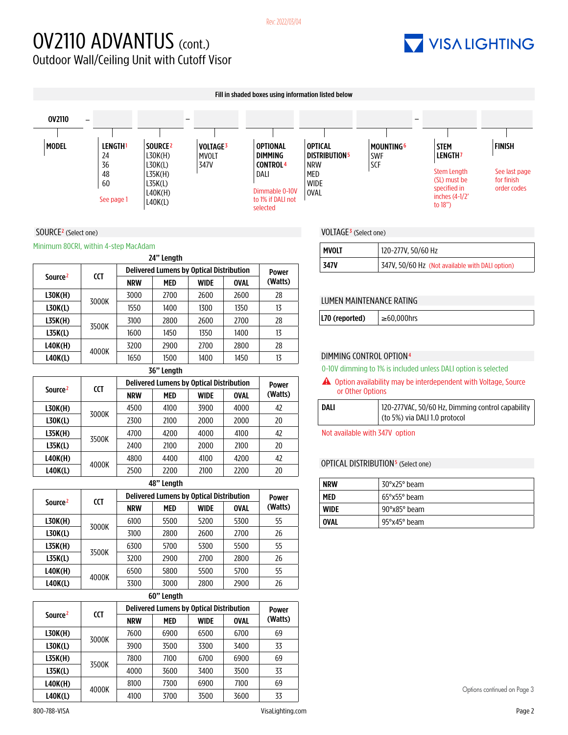### OV2110 ADVANTUS (cont.) Outdoor Wall/Ceiling Unit with Cutoff Visor

# **7 VISA LIGHTING**

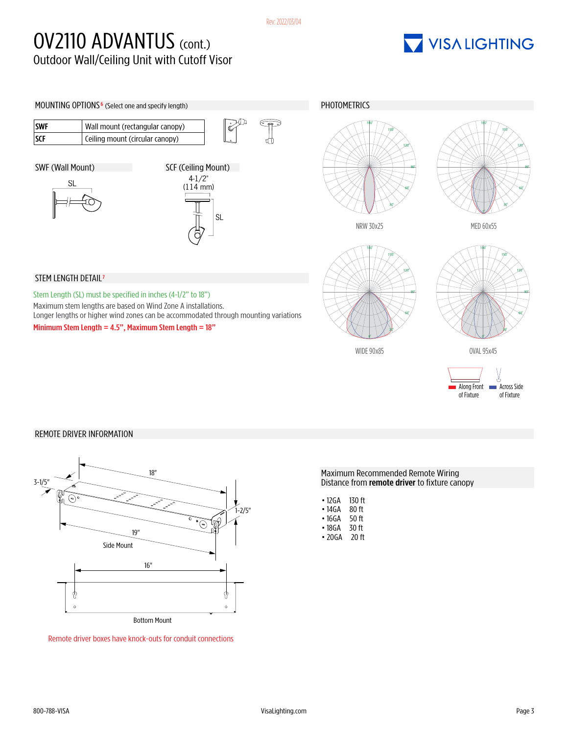## OV2110 ADVANTUS (cont.) Outdoor Wall/Ceiling Unit with Cutoff Visor

# VISALIGHTING



### REMOTE DRIVER INFORMATION



Remote driver boxes have knock-outs for conduit connections

Maximum Recommended Remote Wiring Distance from remote driver to fixture canopy

| • 12GA | 130 ft |
|--------|--------|
|        |        |

- 14GA 80 ft
- 16GA 50 ft<br>• 18GA 30 ft
- 18GA 30 ft<br>• 20GA 20 ft  $\cdot$  20 GA